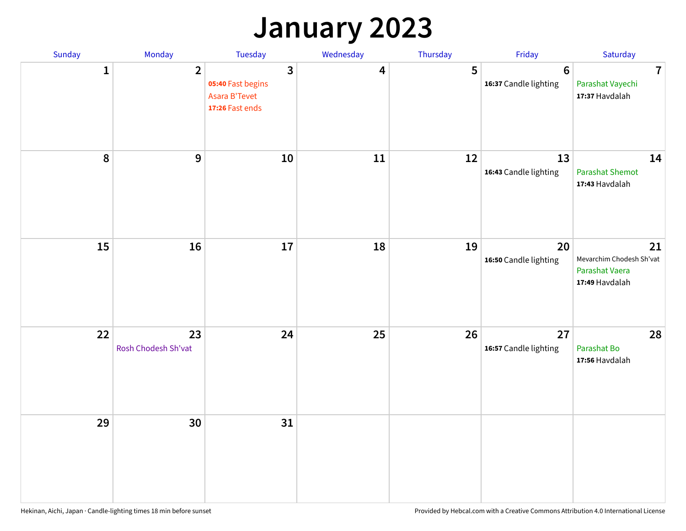## **January 2023**

| Sunday           | Monday                    | Tuesday                                                                                 | Wednesday | Thursday | Friday                                   | Saturday                                                           |
|------------------|---------------------------|-----------------------------------------------------------------------------------------|-----------|----------|------------------------------------------|--------------------------------------------------------------------|
| $\mathbf{1}$     | $\overline{2}$            | $\overline{\mathbf{3}}$<br>05:40 Fast begins<br><b>Asara B'Tevet</b><br>17:26 Fast ends | 4         | 5        | $6\phantom{1}6$<br>16:37 Candle lighting | $\overline{7}$<br>Parashat Vayechi<br>17:37 Havdalah               |
| $\boldsymbol{8}$ | $\mathbf{9}$              | 10                                                                                      | 11        | 12       | 13<br>16:43 Candle lighting              | 14<br><b>Parashat Shemot</b><br>17:43 Havdalah                     |
| 15               | 16                        | 17                                                                                      | 18        | 19       | 20<br>16:50 Candle lighting              | 21<br>Mevarchim Chodesh Sh'vat<br>Parashat Vaera<br>17:49 Havdalah |
| 22               | 23<br>Rosh Chodesh Sh'vat | 24                                                                                      | 25        | 26       | 27<br>16:57 Candle lighting              | 28<br>Parashat Bo<br>17:56 Havdalah                                |
| 29               | 30                        | 31                                                                                      |           |          |                                          |                                                                    |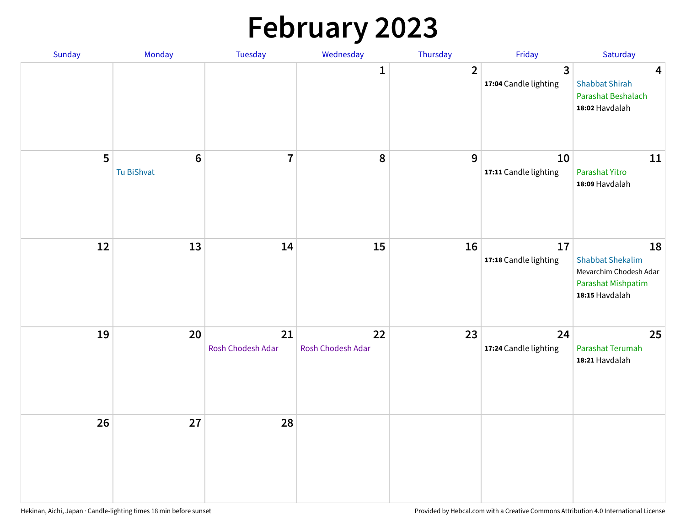# **February 2023**

| Sunday | Monday                        | Tuesday                 | Wednesday               | Thursday       | Friday                      | Saturday                                                                                        |
|--------|-------------------------------|-------------------------|-------------------------|----------------|-----------------------------|-------------------------------------------------------------------------------------------------|
|        |                               |                         | 1                       | $\overline{2}$ | 3<br>17:04 Candle lighting  | $\overline{\mathbf{4}}$<br><b>Shabbat Shirah</b><br>Parashat Beshalach<br>18:02 Havdalah        |
| 5      | $6\phantom{1}6$<br>Tu BiShvat | $\overline{7}$          | 8                       | 9              | 10<br>17:11 Candle lighting | 11<br>Parashat Yitro<br>18:09 Havdalah                                                          |
| 12     | 13                            | 14                      | 15                      | 16             | 17<br>17:18 Candle lighting | 18<br><b>Shabbat Shekalim</b><br>Mevarchim Chodesh Adar<br>Parashat Mishpatim<br>18:15 Havdalah |
| 19     | 20                            | 21<br>Rosh Chodesh Adar | 22<br>Rosh Chodesh Adar | 23             | 24<br>17:24 Candle lighting | 25<br>Parashat Terumah<br>18:21 Havdalah                                                        |
| 26     | 27                            | 28                      |                         |                |                             |                                                                                                 |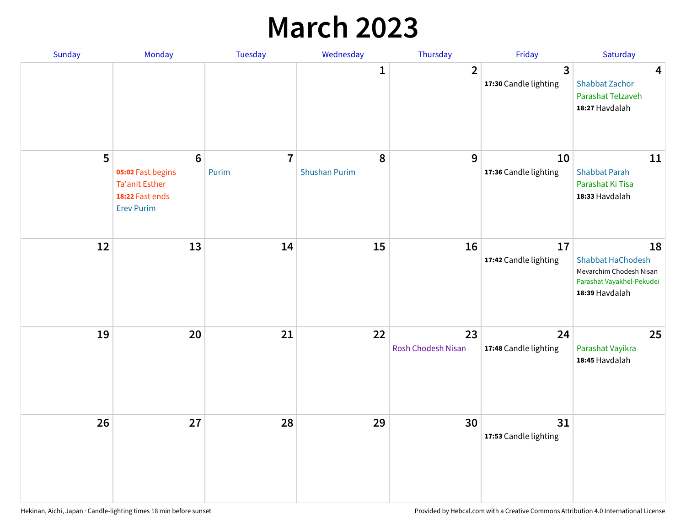## **March 2023**

| Sunday | Monday                                                                                                | Tuesday                 | Wednesday                 | Thursday                 | Friday                      | Saturday                                                                                                 |
|--------|-------------------------------------------------------------------------------------------------------|-------------------------|---------------------------|--------------------------|-----------------------------|----------------------------------------------------------------------------------------------------------|
|        |                                                                                                       |                         | 1                         | $\overline{2}$           | 3<br>17:30 Candle lighting  | $\overline{\mathbf{4}}$<br><b>Shabbat Zachor</b><br>Parashat Tetzaveh<br>18:27 Havdalah                  |
| 5      | $6\phantom{1}6$<br>05:02 Fast begins<br><b>Ta'anit Esther</b><br>18:22 Fast ends<br><b>Erev Purim</b> | $\overline{7}$<br>Purim | 8<br><b>Shushan Purim</b> | 9                        | 10<br>17:36 Candle lighting | 11<br><b>Shabbat Parah</b><br>Parashat Ki Tisa<br>18:33 Havdalah                                         |
| 12     | 13                                                                                                    | 14                      | 15                        | 16                       | 17<br>17:42 Candle lighting | 18<br><b>Shabbat HaChodesh</b><br>Mevarchim Chodesh Nisan<br>Parashat Vayakhel-Pekudei<br>18:39 Havdalah |
| 19     | 20                                                                                                    | 21                      | 22                        | 23<br>Rosh Chodesh Nisan | 24<br>17:48 Candle lighting | 25<br>Parashat Vayikra<br>18:45 Havdalah                                                                 |
| 26     | 27                                                                                                    | 28                      | 29                        | 30                       | 31<br>17:53 Candle lighting |                                                                                                          |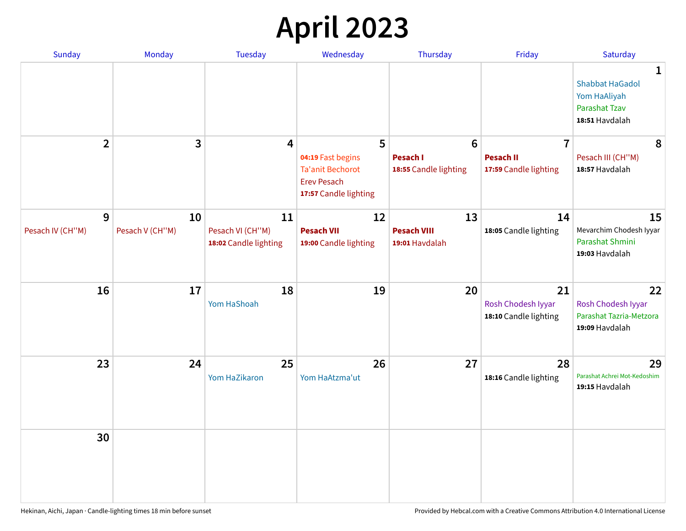# **April 2023**

| Sunday                | <b>Monday</b>         | <b>Tuesday</b>                                  | Wednesday                                                                                   | Thursday                                   | Friday                                            | Saturday                                                                              |
|-----------------------|-----------------------|-------------------------------------------------|---------------------------------------------------------------------------------------------|--------------------------------------------|---------------------------------------------------|---------------------------------------------------------------------------------------|
|                       |                       |                                                 |                                                                                             |                                            |                                                   | 1<br><b>Shabbat HaGadol</b><br>Yom HaAliyah<br><b>Parashat Tzav</b><br>18:51 Havdalah |
| $\overline{2}$        | 3                     | 4                                               | 5                                                                                           | $6\phantom{1}6$                            | $\overline{7}$                                    | 8                                                                                     |
|                       |                       |                                                 | 04:19 Fast begins<br><b>Ta'anit Bechorot</b><br><b>Erev Pesach</b><br>17:57 Candle lighting | <b>Pesach I</b><br>18:55 Candle lighting   | <b>Pesach II</b><br>17:59 Candle lighting         | Pesach III (CH"M)<br>18:57 Havdalah                                                   |
| 9<br>Pesach IV (CH"M) | 10<br>Pesach V (CH"M) | 11<br>Pesach VI (CH"M)<br>18:02 Candle lighting | 12<br><b>Pesach VII</b><br>19:00 Candle lighting                                            | 13<br><b>Pesach VIII</b><br>19:01 Havdalah | 14<br>18:05 Candle lighting                       | 15<br>Mevarchim Chodesh Iyyar<br>Parashat Shmini<br>19:03 Havdalah                    |
| 16                    | 17                    | 18<br>Yom HaShoah                               | 19                                                                                          | 20                                         | 21<br>Rosh Chodesh Iyyar<br>18:10 Candle lighting | 22<br>Rosh Chodesh Iyyar<br>Parashat Tazria-Metzora<br>19:09 Havdalah                 |
| 23                    | 24                    | 25<br>Yom HaZikaron                             | 26<br>Yom HaAtzma'ut                                                                        | 27                                         | 28<br>18:16 Candle lighting                       | 29<br>Parashat Achrei Mot-Kedoshim<br>19:15 Havdalah                                  |
| 30                    |                       |                                                 |                                                                                             |                                            |                                                   |                                                                                       |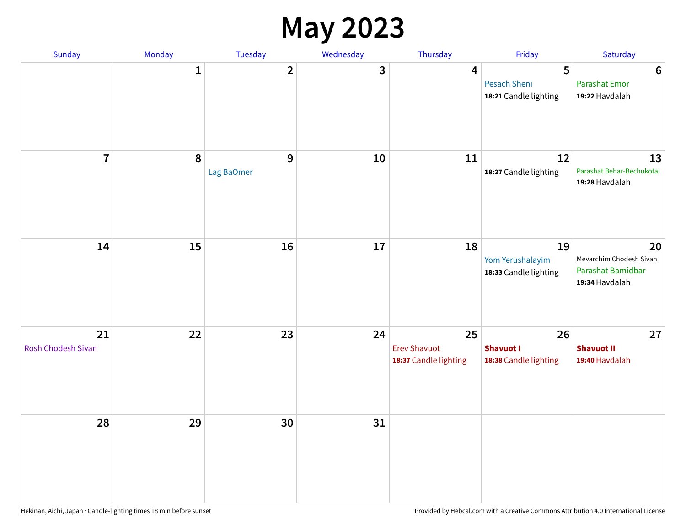#### **May 2023**

| Sunday                   | Monday       | Tuesday                 | Wednesday | Thursday                                           | Friday                                          | Saturday                                                             |
|--------------------------|--------------|-------------------------|-----------|----------------------------------------------------|-------------------------------------------------|----------------------------------------------------------------------|
|                          | $\mathbf{1}$ | $\overline{\mathbf{2}}$ | 3         | $\overline{\mathbf{4}}$                            | 5<br>Pesach Sheni<br>18:21 Candle lighting      | $\bf 6$<br><b>Parashat Emor</b><br>19:22 Havdalah                    |
| $\overline{7}$           | $\pmb{8}$    | 9<br>Lag BaOmer         | 10        | 11                                                 | 12<br>18:27 Candle lighting                     | 13<br>Parashat Behar-Bechukotai<br>19:28 Havdalah                    |
| 14                       | 15           | 16                      | 17        | 18                                                 | 19<br>Yom Yerushalayim<br>18:33 Candle lighting | 20<br>Mevarchim Chodesh Sivan<br>Parashat Bamidbar<br>19:34 Havdalah |
| 21<br>Rosh Chodesh Sivan | 22           | 23                      | 24        | 25<br><b>Erev Shavuot</b><br>18:37 Candle lighting | 26<br><b>Shavuot I</b><br>18:38 Candle lighting | 27<br><b>Shavuot II</b><br>19:40 Havdalah                            |
| 28                       | 29           | 30                      | 31        |                                                    |                                                 |                                                                      |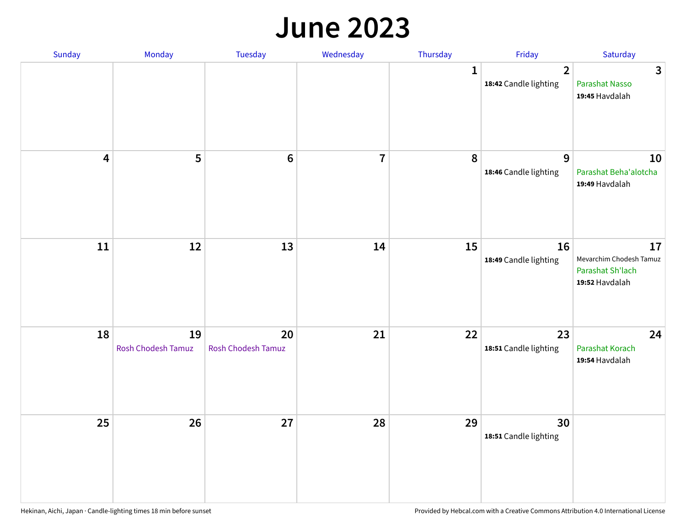#### **June 2023**

| Sunday                  | Monday                   | Tuesday                         | Wednesday               | Thursday     | Friday                                  | Saturday                                                            |
|-------------------------|--------------------------|---------------------------------|-------------------------|--------------|-----------------------------------------|---------------------------------------------------------------------|
|                         |                          |                                 |                         | $\mathbf{1}$ | $\overline{2}$<br>18:42 Candle lighting | $\overline{3}$<br>Parashat Nasso<br>19:45 Havdalah                  |
| $\overline{\mathbf{4}}$ | 5                        | $\bf 6$                         | $\overline{\mathbf{r}}$ | 8            | $\overline{9}$<br>18:46 Candle lighting | 10<br>Parashat Beha'alotcha<br>19:49 Havdalah                       |
| ${\bf 11}$              | 12                       | 13                              | 14                      | 15           | 16<br>18:49 Candle lighting             | 17<br>Mevarchim Chodesh Tamuz<br>Parashat Sh'lach<br>19:52 Havdalah |
| 18                      | 19<br>Rosh Chodesh Tamuz | 20<br><b>Rosh Chodesh Tamuz</b> | 21                      | 22           | 23<br>18:51 Candle lighting             | 24<br>Parashat Korach<br>19:54 Havdalah                             |
| 25                      | 26                       | 27                              | 28                      | 29           | 30<br>18:51 Candle lighting             |                                                                     |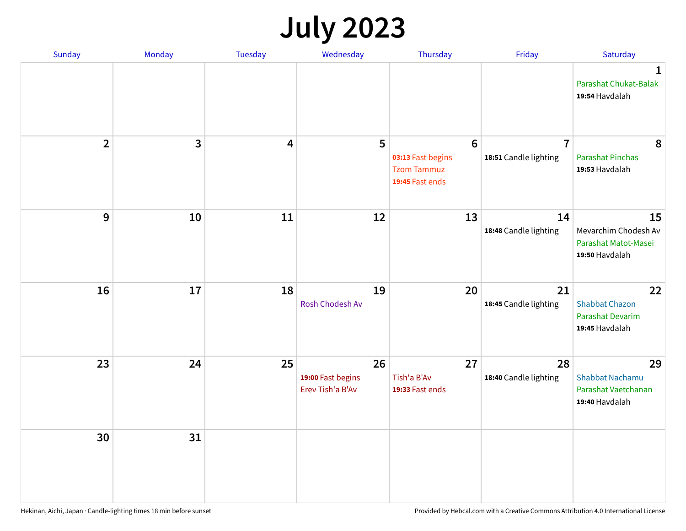# **July 2023**

| Sunday         | Monday       | <b>Tuesday</b>          | Wednesday                                   | Thursday                                                                      | Friday                                  | Saturday                                                              |
|----------------|--------------|-------------------------|---------------------------------------------|-------------------------------------------------------------------------------|-----------------------------------------|-----------------------------------------------------------------------|
|                |              |                         |                                             |                                                                               |                                         | $\mathbf 1$<br>Parashat Chukat-Balak<br>19:54 Havdalah                |
| $\overline{2}$ | $\mathbf{3}$ | $\overline{\mathbf{4}}$ | 5                                           | $6\phantom{1}6$<br>03:13 Fast begins<br><b>Tzom Tammuz</b><br>19:45 Fast ends | $\overline{7}$<br>18:51 Candle lighting | 8<br><b>Parashat Pinchas</b><br>19:53 Havdalah                        |
| 9              | 10           | 11                      | 12                                          | 13                                                                            | 14<br>18:48 Candle lighting             | 15<br>Mevarchim Chodesh Av<br>Parashat Matot-Masei<br>19:50 Havdalah  |
| 16             | 17           | 18                      | 19<br>Rosh Chodesh Av                       | 20                                                                            | 21<br>18:45 Candle lighting             | 22<br><b>Shabbat Chazon</b><br>Parashat Devarim<br>19:45 Havdalah     |
| 23             | 24           | 25                      | 26<br>19:00 Fast begins<br>Erev Tish'a B'Av | 27<br>Tish'a B'Av<br>19:33 Fast ends                                          | 28<br>18:40 Candle lighting             | 29<br><b>Shabbat Nachamu</b><br>Parashat Vaetchanan<br>19:40 Havdalah |
| 30             | 31           |                         |                                             |                                                                               |                                         |                                                                       |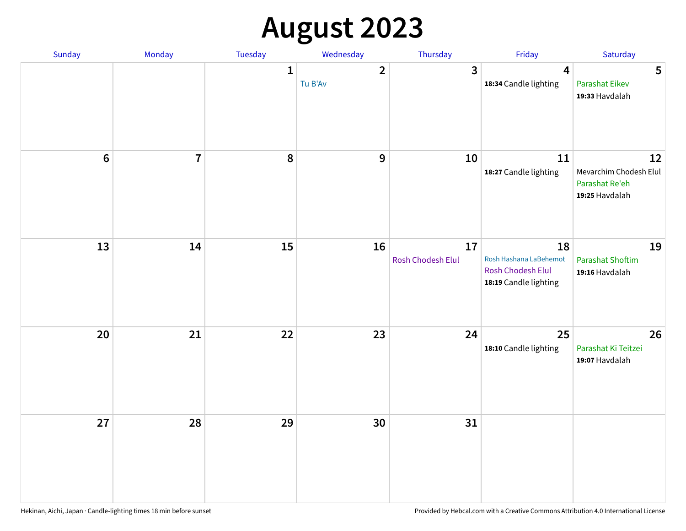# **August 2023**

| Sunday         | Monday         | Tuesday      | Wednesday               | Thursday                | Friday                                                                            | Saturday                                                         |
|----------------|----------------|--------------|-------------------------|-------------------------|-----------------------------------------------------------------------------------|------------------------------------------------------------------|
|                |                | $\mathbf{1}$ | $\mathbf{2}$<br>Tu B'Av | $\overline{\mathbf{3}}$ | $\boldsymbol{4}$<br>18:34 Candle lighting                                         | 5<br><b>Parashat Eikev</b><br>19:33 Havdalah                     |
| $6\phantom{a}$ | $\overline{7}$ | 8            | $\mathbf{9}$            | 10                      | 11<br>18:27 Candle lighting                                                       | 12<br>Mevarchim Chodesh Elul<br>Parashat Re'eh<br>19:25 Havdalah |
| 13             | 14             | 15           | 16                      | 17<br>Rosh Chodesh Elul | 18<br>Rosh Hashana LaBehemot<br><b>Rosh Chodesh Elul</b><br>18:19 Candle lighting | 19<br><b>Parashat Shoftim</b><br>19:16 Havdalah                  |
| $20\,$         | 21             | 22           | 23                      | 24                      | 25<br>18:10 Candle lighting                                                       | 26<br>Parashat Ki Teitzei<br>19:07 Havdalah                      |
| 27             | 28             | 29           | 30                      | 31                      |                                                                                   |                                                                  |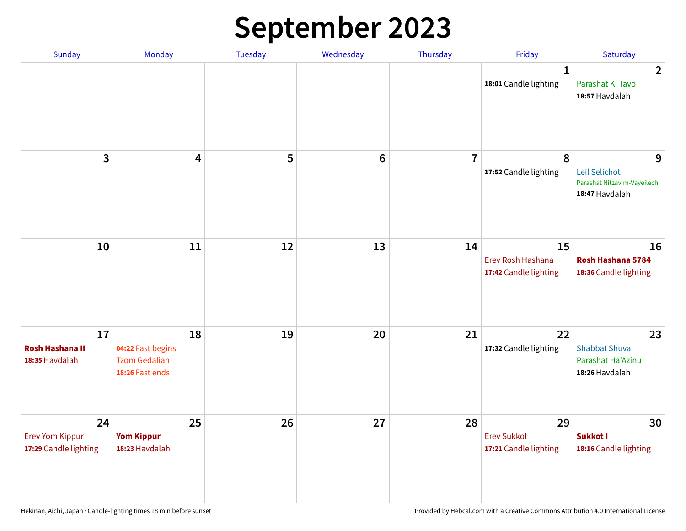# **September 2023**

| Sunday                                                | Monday                                                             | <b>Tuesday</b> | Wednesday       | Thursday       | Friday                                            | Saturday                                                            |
|-------------------------------------------------------|--------------------------------------------------------------------|----------------|-----------------|----------------|---------------------------------------------------|---------------------------------------------------------------------|
|                                                       |                                                                    |                |                 |                | 1<br>18:01 Candle lighting                        | $\overline{2}$<br>Parashat Ki Tavo<br>18:57 Havdalah                |
| 3                                                     | $\overline{\mathbf{4}}$                                            | 5              | $6\phantom{1}6$ | $\overline{7}$ | 8<br>17:52 Candle lighting                        | 9<br>Leil Selichot<br>Parashat Nitzavim-Vayeilech<br>18:47 Havdalah |
| 10                                                    | 11                                                                 | 12             | 13              | 14             | 15<br>Erev Rosh Hashana<br>17:42 Candle lighting  | 16<br>Rosh Hashana 5784<br>18:36 Candle lighting                    |
| 17<br><b>Rosh Hashana II</b><br>18:35 Havdalah        | 18<br>04:22 Fast begins<br><b>Tzom Gedaliah</b><br>18:26 Fast ends | 19             | 20              | 21             | 22<br>17:32 Candle lighting                       | 23<br><b>Shabbat Shuva</b><br>Parashat Ha'Azinu<br>18:26 Havdalah   |
| 24<br><b>Erev Yom Kippur</b><br>17:29 Candle lighting | 25<br><b>Yom Kippur</b><br>18:23 Havdalah                          | 26             | 27              | 28             | 29<br><b>Erev Sukkot</b><br>17:21 Candle lighting | 30<br>Sukkot I<br>18:16 Candle lighting                             |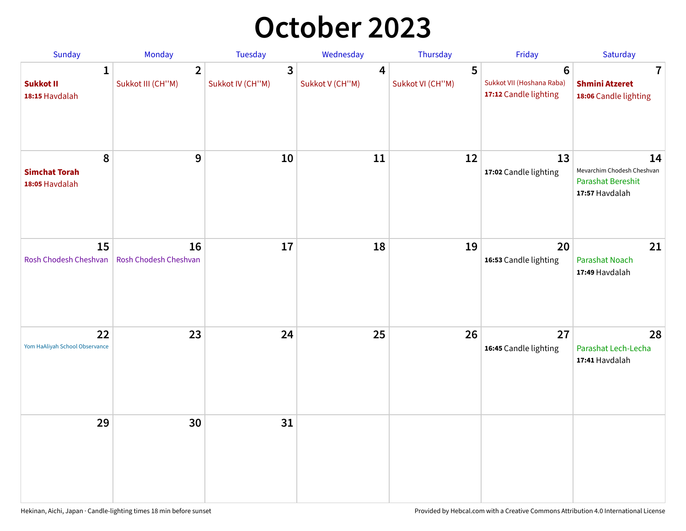## **October 2023**

| Sunday                                             | <b>Monday</b>                       | <b>Tuesday</b>        | Wednesday            | Thursday              | Friday                                                               | Saturday                                                                       |
|----------------------------------------------------|-------------------------------------|-----------------------|----------------------|-----------------------|----------------------------------------------------------------------|--------------------------------------------------------------------------------|
| $\mathbf{1}$<br><b>Sukkot II</b><br>18:15 Havdalah | $\overline{2}$<br>Sukkot III (CH"M) | 3<br>Sukkot IV (CH"M) | 4<br>Sukkot V (CH"M) | 5<br>Sukkot VI (CH"M) | $6\phantom{1}$<br>Sukkot VII (Hoshana Raba)<br>17:12 Candle lighting | 7<br><b>Shmini Atzeret</b><br>18:06 Candle lighting                            |
| 8<br><b>Simchat Torah</b><br>18:05 Havdalah        | $\boldsymbol{9}$                    | 10                    | 11                   | 12                    | 13<br>17:02 Candle lighting                                          | 14<br>Mevarchim Chodesh Cheshvan<br><b>Parashat Bereshit</b><br>17:57 Havdalah |
| 15<br>Rosh Chodesh Cheshvan                        | 16<br>Rosh Chodesh Cheshvan         | 17                    | 18                   | 19                    | 20<br>16:53 Candle lighting                                          | 21<br>Parashat Noach<br>17:49 Havdalah                                         |
| 22<br>Yom HaAliyah School Observance               | 23                                  | 24                    | 25                   | 26                    | 27<br>16:45 Candle lighting                                          | 28<br>Parashat Lech-Lecha<br>17:41 Havdalah                                    |
| 29                                                 | 30                                  | 31                    |                      |                       |                                                                      |                                                                                |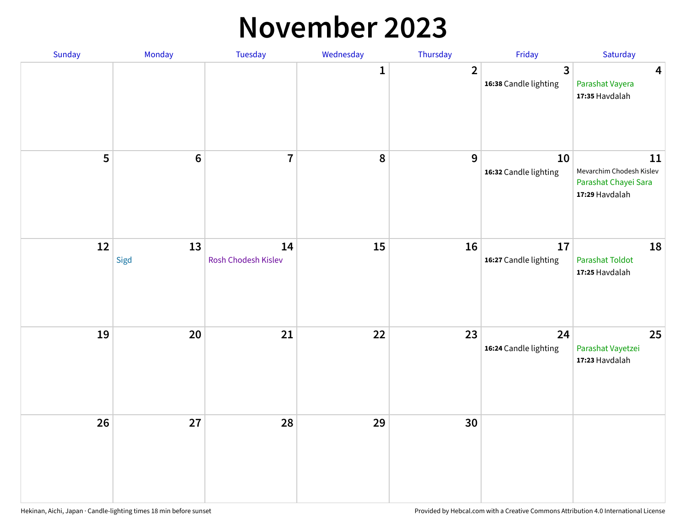#### **November 2023**

| Sunday | Monday          | Tuesday                   | Wednesday    | Thursday       | Friday                      | Saturday                                                                 |
|--------|-----------------|---------------------------|--------------|----------------|-----------------------------|--------------------------------------------------------------------------|
|        |                 |                           | $\mathbf{1}$ | $\overline{2}$ | 3<br>16:38 Candle lighting  | $\overline{\mathbf{4}}$<br>Parashat Vayera<br>17:35 Havdalah             |
| 5      | $6\phantom{1}6$ | $\overline{7}$            | 8            | 9              | 10<br>16:32 Candle lighting | 11<br>Mevarchim Chodesh Kislev<br>Parashat Chayei Sara<br>17:29 Havdalah |
| 12     | 13<br>Sigd      | 14<br>Rosh Chodesh Kislev | 15           | 16             | 17<br>16:27 Candle lighting | 18<br><b>Parashat Toldot</b><br>17:25 Havdalah                           |
| 19     | 20              | 21                        | 22           | 23             | 24<br>16:24 Candle lighting | 25<br>Parashat Vayetzei<br>17:23 Havdalah                                |
| 26     | 27              | 28                        | 29           | 30             |                             |                                                                          |